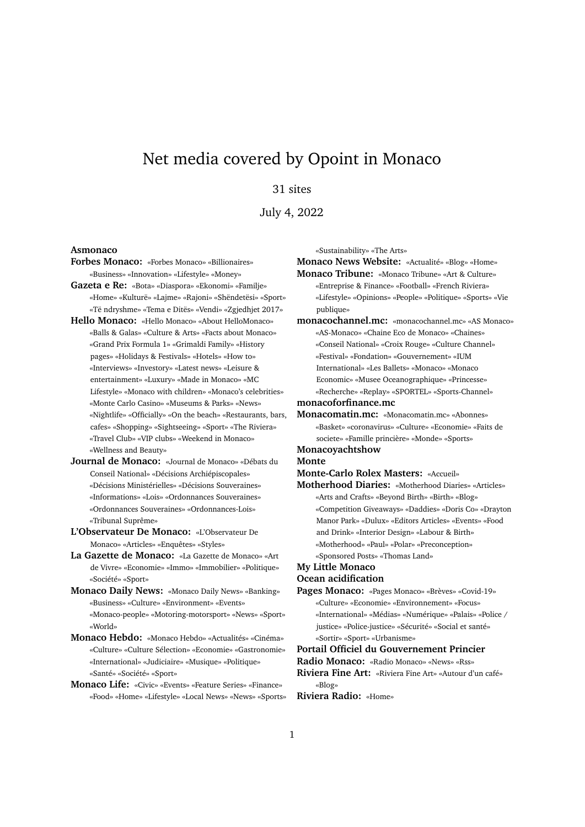# Net media covered by Opoint in Monaco

# 31 sites

July 4, 2022

#### **Asmonaco**

- **Forbes Monaco:** «Forbes Monaco» «Billionaires» «Business» «Innovation» «Lifestyle» «Money»
- **Gazeta e Re:** «Bota» «Diaspora» «Ekonomi» «Familje» «Home» «Kulturë» «Lajme» «Rajoni» «Shëndetësi» «Sport» «Të ndryshme» «Tema e Ditës» «Vendi» «Zgjedhjet 2017»
- **Hello Monaco:** «Hello Monaco» «About HelloMonaco» «Balls & Galas» «Culture & Arts» «Facts about Monaco» «Grand Prix Formula 1» «Grimaldi Family» «History pages» «Holidays & Festivals» «Hotels» «How to» «Interviews» «Investory» «Latest news» «Leisure & entertainment» «Luxury» «Made in Monaco» «MC Lifestyle» «Monaco with children» «Monaco's celebrities» «Monte Carlo Casino» «Museums & Parks» «News» «Nightlife» «Officially» «On the beach» «Restaurants, bars, cafes» «Shopping» «Sightseeing» «Sport» «The Riviera» «Travel Club» «VIP clubs» «Weekend in Monaco» «Wellness and Beauty»
- **Journal de Monaco:** «Journal de Monaco» «Débats du Conseil National» «Décisions Archiépiscopales» «Décisions Ministérielles» «Décisions Souveraines» «Informations» «Lois» «Ordonnances Souveraines» «Ordonnances Souveraines» «Ordonnances-Lois» «Tribunal Suprême»
- **L'Observateur De Monaco:** «L'Observateur De Monaco» «Articles» «Enquêtes» «Styles»
- **La Gazette de Monaco:** «La Gazette de Monaco» «Art de Vivre» «Economie» «Immo» «Immobilier» «Politique» «Société» «Sport»
- **Monaco Daily News:** «Monaco Daily News» «Banking» «Business» «Culture» «Environment» «Events» «Monaco-people» «Motoring-motorsport» «News» «Sport» «World»
- **Monaco Hebdo:** «Monaco Hebdo» «Actualités» «Cinéma» «Culture» «Culture Sélection» «Economie» «Gastronomie» «International» «Judiciaire» «Musique» «Politique» «Santé» «Société» «Sport»
- **Monaco Life:** «Civic» «Events» «Feature Series» «Finance» «Food» «Home» «Lifestyle» «Local News» «News» «Sports»

«Sustainability» «The Arts»

**Monaco News Website:** «Actualité» «Blog» «Home» **Monaco Tribune:** «Monaco Tribune» «Art & Culture» «Entreprise & Finance» «Football» «French Riviera» «Lifestyle» «Opinions» «People» «Politique» «Sports» «Vie publique» **monacochannel.mc:** «monacochannel.mc» «AS Monaco» «AS-Monaco» «Chaine Eco de Monaco» «Chaines» «Conseil National» «Croix Rouge» «Culture Channel» «Festival» «Fondation» «Gouvernement» «IUM International» «Les Ballets» «Monaco» «Monaco Economic» «Musee Oceanographique» «Princesse» «Recherche» «Replay» «SPORTEL» «Sports-Channel»

**monacoforfinance.mc**

**Monacomatin.mc:** «Monacomatin.mc» «Abonnes» «Basket» «coronavirus» «Culture» «Economie» «Faits de societe» «Famille princière» «Monde» «Sports»

#### **Monacoyachtshow Monte**

**Monte-Carlo Rolex Masters:** «Accueil»

**Motherhood Diaries:** «Motherhood Diaries» «Articles» «Arts and Crafts» «Beyond Birth» «Birth» «Blog» «Competition Giveaways» «Daddies» «Doris Co» «Drayton Manor Park» «Dulux» «Editors Articles» «Events» «Food and Drink» «Interior Design» «Labour & Birth» «Motherhood» «Paul» «Polar» «Preconception» «Sponsored Posts» «Thomas Land»

## **My Little Monaco**

**Ocean acidification**

**Pages Monaco:** «Pages Monaco» «Brèves» «Covid-19» «Culture» «Economie» «Environnement» «Focus» «International» «Médias» «Numérique» «Palais» «Police / justice» «Police-justice» «Sécurité» «Social et santé» «Sortir» «Sport» «Urbanisme»

### **Portail Officiel du Gouvernement Princier**

**Radio Monaco:** «Radio Monaco» «News» «Rss»

**Riviera Fine Art:** «Riviera Fine Art» «Autour d'un café» «Blog»

## **Riviera Radio:** «Home»